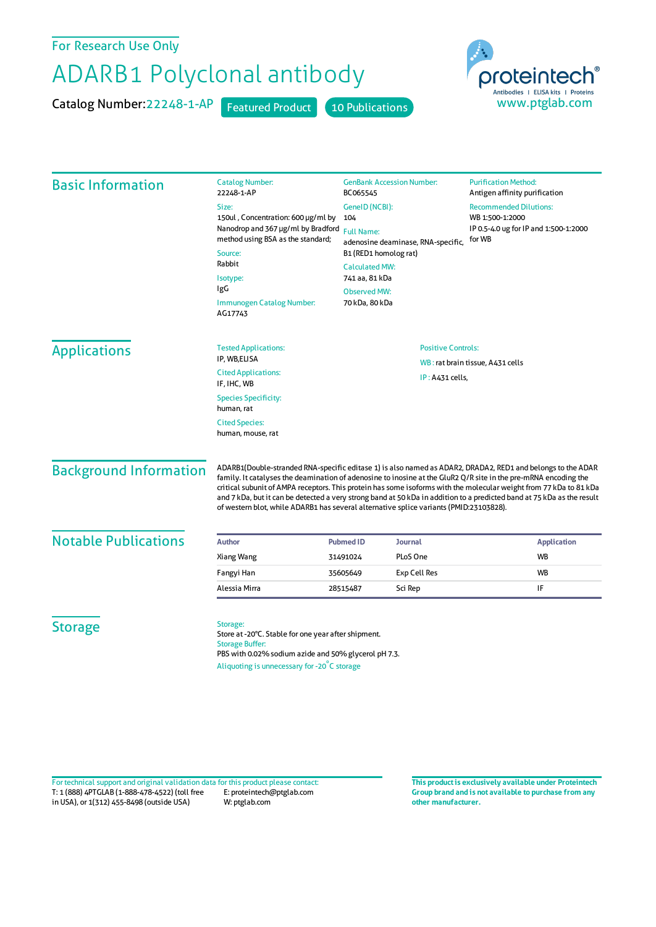## For Research Use Only

## ADARB1 Polyclonal antibody

Catalog Number: 22248-1-AP Featured Product 10 Publications



| <b>Basic Information</b>      | <b>Catalog Number:</b><br>22248-1-AP                                                                                                                                                                                                                                                                                                                                                                                                                                                                                                                                     | <b>GenBank Accession Number:</b><br>BC065545                                                                                                                                | <b>Purification Method:</b><br>Antigen affinity purification                                        |
|-------------------------------|--------------------------------------------------------------------------------------------------------------------------------------------------------------------------------------------------------------------------------------------------------------------------------------------------------------------------------------------------------------------------------------------------------------------------------------------------------------------------------------------------------------------------------------------------------------------------|-----------------------------------------------------------------------------------------------------------------------------------------------------------------------------|-----------------------------------------------------------------------------------------------------|
|                               | Size:<br>150ul, Concentration: 600 µg/ml by<br>Nanodrop and 367 µg/ml by Bradford<br>method using BSA as the standard;<br>Source:<br>Rabbit<br>Isotype:<br>IgG                                                                                                                                                                                                                                                                                                                                                                                                           | GeneID (NCBI):<br>104<br><b>Full Name:</b><br>adenosine deaminase, RNA-specific,<br>B1 (RED1 homolog rat)<br><b>Calculated MW:</b><br>741 aa, 81 kDa<br><b>Observed MW:</b> | <b>Recommended Dilutions:</b><br>WB 1:500-1:2000<br>IP 0.5-4.0 ug for IP and 1:500-1:2000<br>for WB |
|                               | Immunogen Catalog Number:<br>AG17743                                                                                                                                                                                                                                                                                                                                                                                                                                                                                                                                     | 70 kDa, 80 kDa                                                                                                                                                              |                                                                                                     |
| <b>Applications</b>           | <b>Tested Applications:</b>                                                                                                                                                                                                                                                                                                                                                                                                                                                                                                                                              | <b>Positive Controls:</b>                                                                                                                                                   |                                                                                                     |
|                               | IP, WB,ELISA                                                                                                                                                                                                                                                                                                                                                                                                                                                                                                                                                             | WB: rat brain tissue, A431 cells                                                                                                                                            |                                                                                                     |
|                               | <b>Cited Applications:</b><br>IF, IHC, WB                                                                                                                                                                                                                                                                                                                                                                                                                                                                                                                                | IP: A431 cells,                                                                                                                                                             |                                                                                                     |
|                               | <b>Species Specificity:</b><br>human, rat                                                                                                                                                                                                                                                                                                                                                                                                                                                                                                                                |                                                                                                                                                                             |                                                                                                     |
|                               | <b>Cited Species:</b><br>human, mouse, rat                                                                                                                                                                                                                                                                                                                                                                                                                                                                                                                               |                                                                                                                                                                             |                                                                                                     |
| <b>Background Information</b> | ADARB1(Double-stranded RNA-specific editase 1) is also named as ADAR2, DRADA2, RED1 and belongs to the ADAR<br>family. It catalyses the deamination of adenosine to inosine at the GluR2 Q/R site in the pre-mRNA encoding the<br>critical subunit of AMPA receptors. This protein has some isoforms with the molecular weight from 77 kDa to 81 kDa<br>and 7 kDa, but it can be detected a very strong band at 50 kDa in addition to a predicted band at 75 kDa as the result<br>of western blot, while ADARB1 has several alternative splice variants (PMID:23103828). |                                                                                                                                                                             |                                                                                                     |
| <b>Notable Publications</b>   | Author                                                                                                                                                                                                                                                                                                                                                                                                                                                                                                                                                                   | <b>Pubmed ID</b><br><b>Journal</b>                                                                                                                                          | <b>Application</b>                                                                                  |
|                               | Xiang Wang                                                                                                                                                                                                                                                                                                                                                                                                                                                                                                                                                               | PLoS One<br>31491024                                                                                                                                                        | <b>WB</b>                                                                                           |
|                               | Fangyi Han                                                                                                                                                                                                                                                                                                                                                                                                                                                                                                                                                               | <b>Exp Cell Res</b><br>35605649                                                                                                                                             | <b>WB</b>                                                                                           |
|                               | Alessia Mirra                                                                                                                                                                                                                                                                                                                                                                                                                                                                                                                                                            | Sci Rep<br>28515487                                                                                                                                                         | IF                                                                                                  |
| <b>Storage</b>                | Storage:<br>Store at -20°C. Stable for one year after shipment.<br><b>Storage Buffer:</b><br>PBS with 0.02% sodium azide and 50% glycerol pH 7.3.<br>Aliquoting is unnecessary for -20°C storage                                                                                                                                                                                                                                                                                                                                                                         |                                                                                                                                                                             |                                                                                                     |

T: 1 (888) 4PTGLAB (1-888-478-4522) (toll free in USA), or 1(312) 455-8498 (outside USA) E: proteintech@ptglab.com W: ptglab.com Fortechnical support and original validation data forthis product please contact: **This productis exclusively available under Proteintech**

**Group brand and is not available to purchase from any other manufacturer.**